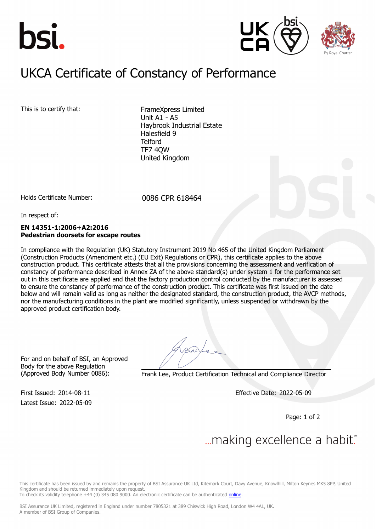





### $UIXCA$  Constitution of Constancy of Dorform UKCA Certificate of Constancy of Performance

This is to certify that: FrameXpress Limited

Unit A1 - A5 Haybrook Industrial Estate Halesfield 9 **Telford** TF7 4QW United Kingdom

Holds Certificate Number: 0086 CPR 618464

In respect of:

### **EN 14351-1:2006+A2:2016 Pedestrian doorsets for escape routes**

In compliance with the Regulation (UK) Statutory Instrument 2019 No 465 of the United Kingdom Parliament (Construction Products (Amendment etc.) (EU Exit) Regulations or CPR), this certificate applies to the above construction product. This certificate attests that all the provisions concerning the assessment and verification of constancy of performance described in Annex ZA of the above standard(s) under system 1 for the performance set out in this certificate are applied and that the factory production control conducted by the manufacturer is assessed to ensure the constancy of performance of the construction product. This certificate was first issued on the date below and will remain valid as long as neither the designated standard, the construction product, the AVCP methods, nor the manufacturing conditions in the plant are modified significantly, unless suspended or withdrawn by the approved product certification body.

For and on behalf of BSI, an Approved Body for the above Regulation

(Approved Body Number 0086): Frank Lee, Product Certification Technical and Compliance Director

Latest Issue: 2022-05-09

First Issued: 2014-08-11 Effective Date: 2022-05-09

Page: 1 of 2

# ... making excellence a habit.

This certificate has been issued by and remains the property of BSI Assurance UK Ltd, Kitemark Court, Davy Avenue, Knowlhill, Milton Keynes MK5 8PP, United Kingdom and should be returned immediately upon request.

To check its validity telephone +44 (0) 345 080 9000. An electronic certificate can be authenticated *[online](https://pgplus.bsigroup.com/CertificateValidation/CertificateValidator.aspx?CertificateNumber=CPR+618464&ReIssueDate=09%2f05%2f2022&Template=uk)*.

BSI Assurance UK Limited, registered in England under number 7805321 at 389 Chiswick High Road, London W4 4AL, UK. A member of BSI Group of Companies.